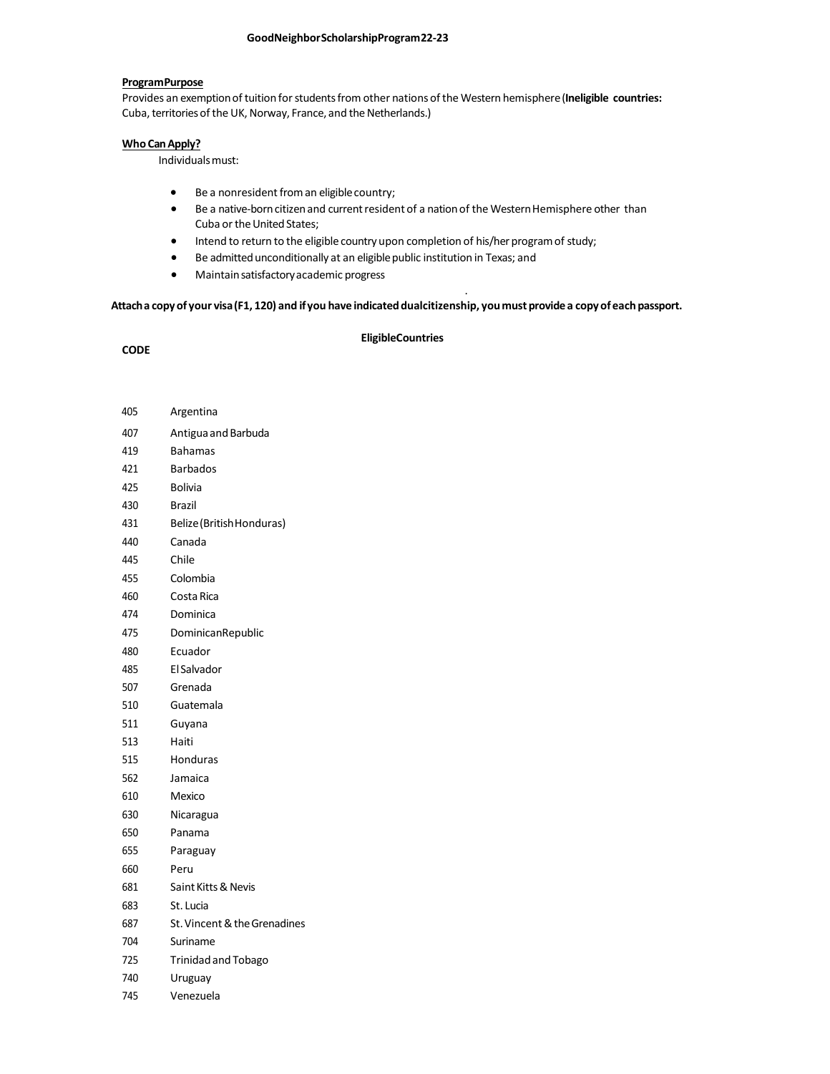# **ProgramPurpose**

Provides an exemptionof tuition forstudentsfrom other nations ofthe Western hemisphere(**Ineligible countries:** Cuba, territories of the UK, Norway, France, and the Netherlands.)

#### **Who CanApply?**

Individualsmust:

- Be a nonresident from an eligible country;
- Be a native-born citizen and current resident of a nation of the Western Hemisphere other than Cuba or the United States;

.

- Intend to return to the eligible country upon completion of his/her program of study;
- **•** Be admitted unconditionally at an eligible public institution in Texas; and
- Maintainsatisfactoryacademic progress

**Attacha copyof your visa(F1, 120) and ifyou have indicateddualcitizenship, youmustprovidea copyofeachpassport.**

### **CODE**

# **EligibleCountries**

- Argentina 407 Antigua and Barbuda Bahamas
- Barbados
- Bolivia
- 
- Brazil
- Belize(BritishHonduras)
- Canada
- Chile
- Colombia
- CostaRica
- Dominica
- DominicanRepublic
- Ecuador
- ElSalvador
- Grenada
- Guatemala
- Guyana
- Haiti
- Honduras
- Jamaica
- Mexico
- Nicaragua
- Panama
- Paraguay
- Peru
- SaintKitts&Nevis
- St. Lucia
- St.Vincent&theGrenadines
- Suriname
- Trinidadand Tobago
- Uruguay
- Venezuela